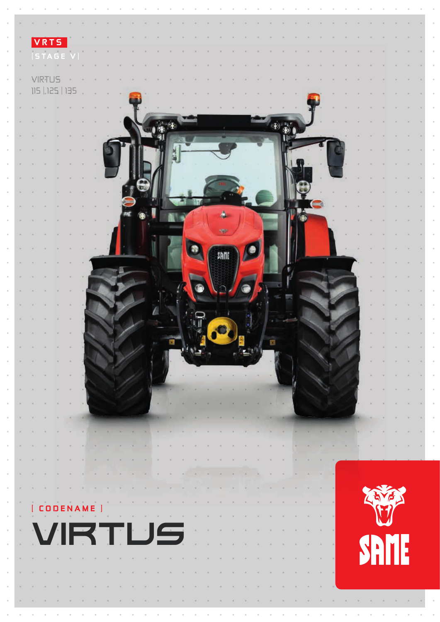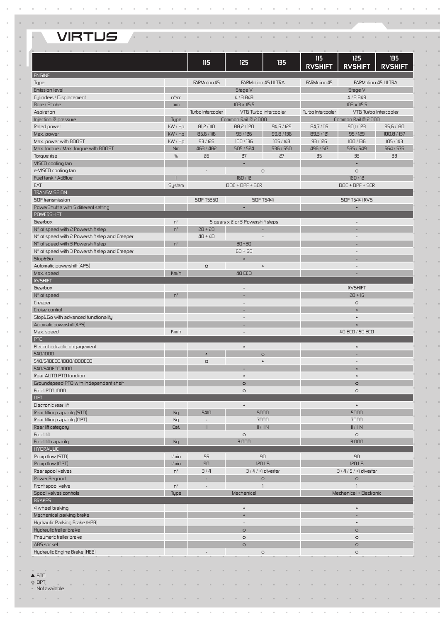# VIRTUS

à.

÷.

J.

 $\bar{z}$ 

×.

×.

 $\mathcal{L}$  $\mathcal{L}$  $\mathcal{L}$  $\mathcal{A}$ 

|                                                |                     | 115                 | 125                               | 135                       | 115<br><b>RVSHIFT</b> | 125<br><b>RVSHIFT</b>   | 135<br><b>RVSHIFT</b>     |
|------------------------------------------------|---------------------|---------------------|-----------------------------------|---------------------------|-----------------------|-------------------------|---------------------------|
| <b>ENGINE</b>                                  |                     |                     |                                   |                           |                       |                         |                           |
| Type                                           |                     | <b>FARMotion 45</b> |                                   | <b>FARMotion 45 ULTRA</b> | FARMotion 45          |                         | <b>FARMotion 45 ULTRA</b> |
| <b>Emission level</b>                          |                     |                     | Stage V                           |                           |                       | Stage V                 |                           |
| Cylinders / Displacement                       | $n^{\circ}/c$ c     |                     | 4/3.849                           |                           |                       | 4/3.849                 |                           |
| Bore / Stroke                                  | mm                  |                     | $103 \times 115.5$                |                           |                       | $103 \times 115,5$      |                           |
| Aspiration                                     |                     | Turbo Intercooler   |                                   | VTG Turbo Intercooler     | Turbo Intercooler     |                         | VTG Turbo Intercooler     |
| Injection @ pressure                           | Type                |                     | Common Rail @ 2.000               |                           |                       | Common Rail @ 2.000     |                           |
| Rated power                                    | kW / H <sub>D</sub> | B1.2 / 110          | 88,2/120                          | 94,6 / 129                | 84,7/115              | $90$ .) $/123$          | 95,6/130                  |
| Max. power                                     | kW/Hp               | 85,6/116            | 93/126                            | 99,8/136                  | $151 \setminus E, 28$ | 95/129                  | 100,8/137                 |
| Max. power with BOOST                          | kW/Hp               | 93/126              | 100/136                           | 105/143                   | 93/126                | 100 / 136               | 105 / 143                 |
| Max. torque / Max. torque with BOOST           | Nm                  | 463 / 482           | 505 / 524                         | 536 / 550                 | 496 / 517             | 535 / 549               | 564/576                   |
| Torque rise                                    | %                   | 26                  | 27                                | 27                        | 35                    | 53                      | $\exists \exists$         |
| VISCO cooling fan                              |                     |                     | $\blacktriangle$                  |                           |                       | $\blacktriangle$        |                           |
| e-VISCO cooling fan                            |                     | $\sim$              |                                   | $\circ$                   |                       | $\circ$                 |                           |
| Fuel tank / AdBlue                             |                     |                     | 160/12                            |                           |                       | 160/12                  |                           |
| EAT                                            | System              |                     | $DOC + DPF + SCR$                 |                           |                       | $DOC + DPF + SCR$       |                           |
| <b>TRANSMISSION</b>                            |                     |                     |                                   |                           |                       |                         |                           |
| <b>SDF</b> transmission                        |                     | <b>SDF T5350</b>    |                                   | <b>SDF T5441</b>          |                       | <b>SDF T5441 RVS</b>    |                           |
| PowerShuttle with 5 different setting          |                     |                     | $\blacktriangle$                  |                           |                       | $\blacktriangle$        |                           |
| POWERSHIFT                                     |                     |                     |                                   |                           |                       |                         |                           |
| Gearbox                                        | $\mathsf{n}^\circ$  |                     | 5 gears x 2 or 3 Powershift steps |                           |                       |                         |                           |
| N° of speed with 2 Powershift step             | $n^{\circ}$         | $20 + 20$           |                                   | L.                        |                       |                         |                           |
| N° of speed with 2 Powershift step and Creeper |                     | $40 + 40$           |                                   |                           |                       |                         |                           |
| N° of speed with 3 Powershift step             | $n^{\circ}$         |                     | $90 + 30$                         |                           |                       |                         |                           |
| N° of speed with 3 Powershift step and Creeper |                     |                     | $60 + 60$                         |                           |                       |                         |                           |
| <b>Stop&amp;Go</b>                             |                     |                     | $\blacktriangle$                  |                           |                       |                         |                           |
| Automatic powershift (APS)                     |                     | $\circ$             |                                   | $\blacktriangle$          |                       |                         |                           |
| Max. speed                                     | Km/h                |                     | 40 ECO                            |                           |                       |                         |                           |
| <b>RVSHIFT</b>                                 |                     |                     |                                   |                           |                       |                         |                           |
| Gearbox                                        |                     |                     |                                   |                           |                       | <b>RVSHIFT</b>          |                           |
|                                                |                     |                     |                                   |                           |                       |                         |                           |
| $N^{\circ}$ of speed                           | $n^{\circ}$         |                     |                                   |                           |                       | $20 + 16$               |                           |
| Creeper                                        |                     |                     |                                   |                           |                       | $\circ$                 |                           |
| Cruise control                                 |                     |                     |                                   |                           |                       | $\blacktriangle$        |                           |
| Stop&Go with advanced functionality            |                     |                     |                                   |                           |                       | $\blacktriangle$        |                           |
| Automatic powershift (APS)                     |                     |                     |                                   |                           |                       |                         |                           |
| Max. speed                                     | Km/h                |                     |                                   |                           |                       | 40 ECO / 50 ECO         |                           |
| PTO                                            |                     |                     |                                   |                           |                       |                         |                           |
| Electrohydraulic engagement                    |                     |                     | $\blacktriangle$                  |                           |                       | $\blacktriangle$        |                           |
| 540/1000                                       |                     | $\blacktriangle$    |                                   | $\circ$                   |                       |                         |                           |
| 540/540EC0/1000/1000EC0                        |                     | $\circ$             |                                   | $\blacktriangle$          |                       |                         |                           |
| 540/540EC0/1000                                |                     |                     |                                   |                           |                       |                         |                           |
| Rear AUTO PTO function                         |                     |                     | $\blacktriangle$                  |                           |                       | $\blacktriangle$        |                           |
| Groundspeed PTO with independent shaft         |                     |                     | $\circ$                           |                           |                       | $\circ$                 |                           |
| Front PTO 1000                                 |                     |                     | $\circ$                           |                           |                       | $\circ$                 |                           |
| LIFT                                           |                     |                     |                                   |                           |                       |                         |                           |
| Electronic rear lift                           |                     |                     | $\blacktriangle$                  |                           |                       | $\blacktriangle$        |                           |
| Rear lifting capacity (STD)                    | K <sub>Q</sub>      | 5410                |                                   | 5000                      |                       | 5000                    |                           |
| Rear lifting capacity (OPT)                    | Kg                  | $\mathbb{Z}^2$      |                                   | 7000                      |                       | 7000                    |                           |
| Rear lift category                             | Cat.                | $\parallel$         |                                   | II/IIIN                   |                       | II/IIIN                 |                           |
| Front lift                                     |                     |                     | $\circ$                           |                           |                       | $\circ$                 |                           |
| Front lift capacity                            | Kg                  |                     | 3.000                             |                           |                       | 3.000                   |                           |
| <b>HYDRAULIC</b>                               |                     |                     |                                   |                           |                       |                         |                           |
|                                                |                     |                     |                                   | 90                        |                       |                         |                           |
| Pump flow (STD)                                | l/min               | 55                  |                                   |                           |                       | 90                      |                           |
| Pump flow (OPT)                                | l/min               | 90                  |                                   | <b>120 LS</b>             |                       | <b>120 LS</b>           |                           |
| Rear spool valves                              | $\mathsf{n}^\circ$  | 3/4                 |                                   | $3/4/$ +1 diverter        |                       | $3/4/5/$ +1 diverter    |                           |
| Power Beyond                                   |                     | L.                  |                                   | $\circ$                   |                       | $\circ$                 |                           |
| Front spool valve                              | $\mathsf{n}^\circ$  | $\overline{a}$      |                                   | $\mathbf{1}$              |                       | $\mathbf{1}$            |                           |
| Spool valves controls                          | Type                |                     | Mechanical                        |                           |                       | Mechanical + Electronic |                           |
| <b>BRAKES</b>                                  |                     |                     |                                   |                           |                       |                         |                           |
| 4 wheel braking                                |                     |                     | $\blacktriangle$                  |                           |                       | $\blacktriangle$        |                           |
| Mechanical parking brake                       |                     |                     | $\blacktriangle$                  |                           |                       |                         |                           |
| Hydraulic Parking Brake (HPB)                  |                     |                     |                                   |                           |                       | $\blacktriangle$        |                           |
| Hydraulic trailer brake                        |                     |                     | $\circ$                           |                           |                       | $\circ$                 |                           |
| Pneumatic trailer brake                        |                     |                     | $\circ$                           |                           |                       | $\circ$                 |                           |
| ABS socket                                     |                     |                     | $\circ$                           |                           |                       | $\circ$                 |                           |
|                                                |                     |                     |                                   | $\circ$                   |                       | $\circ$                 |                           |
|                                                |                     |                     |                                   |                           |                       |                         |                           |
| Hydraulic Engine Brake (HEB)                   |                     |                     |                                   |                           |                       |                         |                           |
|                                                |                     |                     |                                   |                           |                       |                         |                           |
| $\mathbb{R}^n$ .                               |                     |                     |                                   |                           |                       |                         |                           |
| A STD                                          |                     |                     |                                   |                           |                       |                         |                           |
| $Q$ OPT                                        |                     |                     |                                   |                           |                       |                         |                           |
| - Not available                                |                     |                     |                                   |                           |                       |                         |                           |

i.

 $\mathcal{A}$ 

×.

J.

 $\alpha$  ,  $\beta$  ,  $\alpha$ 

 $\bar{z}$  $\mathcal{A}$   $\mathcal{L}$ 

÷.

×.

 $\bar{z}$ 

÷.

×.

 $\mathcal{L}^{\mathcal{L}}$ 

×.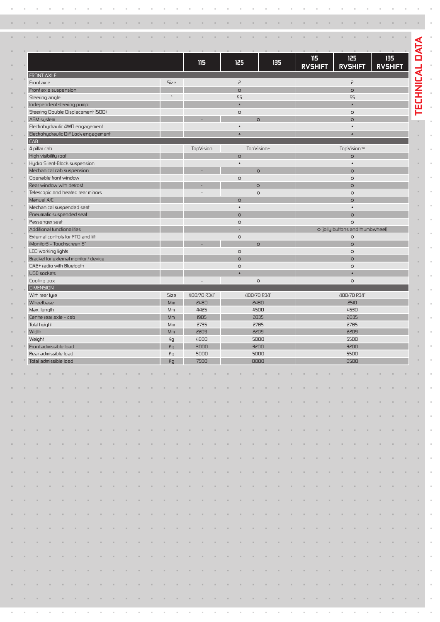| FRONT AXLE<br>Front axle<br><b>Size</b><br>$\overline{c}$<br>5<br>$\circ$<br>$\circ$<br>Front axle suspension<br>$\circ$<br>55<br>55<br>Steering angle<br>Independent steering pump<br>$\blacktriangle$<br>$\blacktriangle$<br>Steering Double Displacement (SDD)<br>$\circ$<br>$\circ$<br>ASM system<br>$\circ$<br>$\circ$<br>Electrohydraulic 4WD engagement<br>$\blacktriangle$<br>$\blacktriangle$<br>$\blacktriangle$<br>$\blacktriangle$<br><b>TopVision</b> Pro<br>TopVision<br>TopVision+<br>$\circ$<br>$\circ$<br>$\blacktriangle$<br>$\blacktriangle$<br>$\circ$<br>$\circ$<br>$\circ$<br>$\circ$<br>$\circ$<br>$\circ$<br>$\circ$<br>$\circ$<br>$\circ$<br>$\circ$<br>$\blacktriangle$<br>$\blacktriangle$<br>$\circ$<br>$\circ$<br>$\circ$<br>$\circ$<br>O (jolly buttons and thumbwheel)<br>$\circ$<br>$\circ$<br>$\circ$<br>$\circ$<br>$\circ$<br>$\circ$<br>$\circ$<br>$\circ$<br>$\circ$<br>$\circ$<br>$\blacktriangle$<br>$\blacktriangle$<br>$\circ$<br>$\circ$<br><b>Size</b><br>480/70 R34"<br>480/70 R34"<br>480/70 R34"<br>Mm<br>2480<br>2480<br>2510<br>4425<br>4500<br>4530<br>Mm<br>1985<br>2035<br>Mm<br>2035<br>2785<br>2785<br>Mm<br>2735<br>2209<br>2209<br>Mm<br>2209<br>4600<br>5000<br>Kg<br>5500<br>3000<br>3200<br>3200<br>Kg<br>5000<br>5000<br>5500<br>Kg<br>Кg<br>7500<br>8000<br>8500<br>the contract of the contract of the contract of the con-<br><b>COLLA</b><br>the contract of the contract of the<br>the contract of the contract of the<br>the company of the company of the company of the company of the company of the company of the company of the company of the company of the company of the company of the company of the company of the company of the company<br>the contract of the contract of the<br>the contract of the contract of<br>the contract of the contract of the contract of |  |  |  |  |  |  | $115$ |  | 125 | 135 |  | 115<br><b>RVSHIFT</b> |  | 125<br><b>RVSHIFT</b> |  | 135<br><b>RVSHIFT</b> |                                                                               |
|-----------------------------------------------------------------------------------------------------------------------------------------------------------------------------------------------------------------------------------------------------------------------------------------------------------------------------------------------------------------------------------------------------------------------------------------------------------------------------------------------------------------------------------------------------------------------------------------------------------------------------------------------------------------------------------------------------------------------------------------------------------------------------------------------------------------------------------------------------------------------------------------------------------------------------------------------------------------------------------------------------------------------------------------------------------------------------------------------------------------------------------------------------------------------------------------------------------------------------------------------------------------------------------------------------------------------------------------------------------------------------------------------------------------------------------------------------------------------------------------------------------------------------------------------------------------------------------------------------------------------------------------------------------------------------------------------------------------------------------------------------------------------------------------------------------------------------------------------------|--|--|--|--|--|--|-------|--|-----|-----|--|-----------------------|--|-----------------------|--|-----------------------|-------------------------------------------------------------------------------|
|                                                                                                                                                                                                                                                                                                                                                                                                                                                                                                                                                                                                                                                                                                                                                                                                                                                                                                                                                                                                                                                                                                                                                                                                                                                                                                                                                                                                                                                                                                                                                                                                                                                                                                                                                                                                                                                     |  |  |  |  |  |  |       |  |     |     |  |                       |  |                       |  |                       |                                                                               |
|                                                                                                                                                                                                                                                                                                                                                                                                                                                                                                                                                                                                                                                                                                                                                                                                                                                                                                                                                                                                                                                                                                                                                                                                                                                                                                                                                                                                                                                                                                                                                                                                                                                                                                                                                                                                                                                     |  |  |  |  |  |  |       |  |     |     |  |                       |  |                       |  |                       |                                                                               |
|                                                                                                                                                                                                                                                                                                                                                                                                                                                                                                                                                                                                                                                                                                                                                                                                                                                                                                                                                                                                                                                                                                                                                                                                                                                                                                                                                                                                                                                                                                                                                                                                                                                                                                                                                                                                                                                     |  |  |  |  |  |  |       |  |     |     |  |                       |  |                       |  |                       |                                                                               |
|                                                                                                                                                                                                                                                                                                                                                                                                                                                                                                                                                                                                                                                                                                                                                                                                                                                                                                                                                                                                                                                                                                                                                                                                                                                                                                                                                                                                                                                                                                                                                                                                                                                                                                                                                                                                                                                     |  |  |  |  |  |  |       |  |     |     |  |                       |  |                       |  |                       |                                                                               |
|                                                                                                                                                                                                                                                                                                                                                                                                                                                                                                                                                                                                                                                                                                                                                                                                                                                                                                                                                                                                                                                                                                                                                                                                                                                                                                                                                                                                                                                                                                                                                                                                                                                                                                                                                                                                                                                     |  |  |  |  |  |  |       |  |     |     |  |                       |  |                       |  |                       |                                                                               |
|                                                                                                                                                                                                                                                                                                                                                                                                                                                                                                                                                                                                                                                                                                                                                                                                                                                                                                                                                                                                                                                                                                                                                                                                                                                                                                                                                                                                                                                                                                                                                                                                                                                                                                                                                                                                                                                     |  |  |  |  |  |  |       |  |     |     |  |                       |  |                       |  |                       |                                                                               |
| Electrohydraulic Diff Lock engagement                                                                                                                                                                                                                                                                                                                                                                                                                                                                                                                                                                                                                                                                                                                                                                                                                                                                                                                                                                                                                                                                                                                                                                                                                                                                                                                                                                                                                                                                                                                                                                                                                                                                                                                                                                                                               |  |  |  |  |  |  |       |  |     |     |  |                       |  |                       |  |                       |                                                                               |
| <b>CAB</b><br>4 pillar cab                                                                                                                                                                                                                                                                                                                                                                                                                                                                                                                                                                                                                                                                                                                                                                                                                                                                                                                                                                                                                                                                                                                                                                                                                                                                                                                                                                                                                                                                                                                                                                                                                                                                                                                                                                                                                          |  |  |  |  |  |  |       |  |     |     |  |                       |  |                       |  |                       |                                                                               |
|                                                                                                                                                                                                                                                                                                                                                                                                                                                                                                                                                                                                                                                                                                                                                                                                                                                                                                                                                                                                                                                                                                                                                                                                                                                                                                                                                                                                                                                                                                                                                                                                                                                                                                                                                                                                                                                     |  |  |  |  |  |  |       |  |     |     |  |                       |  |                       |  |                       |                                                                               |
| High visibility roof<br>Hydro Silent-Block suspension<br>Total height                                                                                                                                                                                                                                                                                                                                                                                                                                                                                                                                                                                                                                                                                                                                                                                                                                                                                                                                                                                                                                                                                                                                                                                                                                                                                                                                                                                                                                                                                                                                                                                                                                                                                                                                                                               |  |  |  |  |  |  |       |  |     |     |  |                       |  |                       |  |                       |                                                                               |
| Mechanical cab suspension                                                                                                                                                                                                                                                                                                                                                                                                                                                                                                                                                                                                                                                                                                                                                                                                                                                                                                                                                                                                                                                                                                                                                                                                                                                                                                                                                                                                                                                                                                                                                                                                                                                                                                                                                                                                                           |  |  |  |  |  |  |       |  |     |     |  |                       |  |                       |  |                       |                                                                               |
| Openable front window<br>Rear window with defrost<br>Telescopic and heated rear mirrors<br>Manual A/C<br>Mechanical suspended seat<br>Pneumatic suspended seat<br>Passenger seat<br>Additional functionalities<br>External controls for PTO and lift<br>iMonitor3 - Touchscreen 8"<br>LED working lights<br>Bracket for external monitor / device<br>DAB+ radio with Bluetooth<br>USB sockets<br>Cooling box<br><b>DIMENSION</b><br>With rear tyre<br>Wheelbase<br>Max. length<br>Centre rear axle - cab<br>Width<br>Weight<br>Front admissible load<br>Rear admissible load<br>Total admissible load<br>$\mathbf{u} = \mathbf{u} + \mathbf{u}$ .<br><b>Barried State</b><br>a construction of the construction of the construction of the construction of the construction of the construction<br><b>Contract Contract</b><br><b>Contract Contract</b><br>a construction of the construction of the construction of the construction of the construction of the construction<br><b>Barriet Street</b>                                                                                                                                                                                                                                                                                                                                                                                                                                                                                                                                                                                                                                                                                                                                                                                                                                              |  |  |  |  |  |  |       |  |     |     |  |                       |  |                       |  |                       |                                                                               |
|                                                                                                                                                                                                                                                                                                                                                                                                                                                                                                                                                                                                                                                                                                                                                                                                                                                                                                                                                                                                                                                                                                                                                                                                                                                                                                                                                                                                                                                                                                                                                                                                                                                                                                                                                                                                                                                     |  |  |  |  |  |  |       |  |     |     |  |                       |  |                       |  |                       |                                                                               |
|                                                                                                                                                                                                                                                                                                                                                                                                                                                                                                                                                                                                                                                                                                                                                                                                                                                                                                                                                                                                                                                                                                                                                                                                                                                                                                                                                                                                                                                                                                                                                                                                                                                                                                                                                                                                                                                     |  |  |  |  |  |  |       |  |     |     |  |                       |  |                       |  |                       |                                                                               |
|                                                                                                                                                                                                                                                                                                                                                                                                                                                                                                                                                                                                                                                                                                                                                                                                                                                                                                                                                                                                                                                                                                                                                                                                                                                                                                                                                                                                                                                                                                                                                                                                                                                                                                                                                                                                                                                     |  |  |  |  |  |  |       |  |     |     |  |                       |  |                       |  |                       |                                                                               |
|                                                                                                                                                                                                                                                                                                                                                                                                                                                                                                                                                                                                                                                                                                                                                                                                                                                                                                                                                                                                                                                                                                                                                                                                                                                                                                                                                                                                                                                                                                                                                                                                                                                                                                                                                                                                                                                     |  |  |  |  |  |  |       |  |     |     |  |                       |  |                       |  |                       |                                                                               |
|                                                                                                                                                                                                                                                                                                                                                                                                                                                                                                                                                                                                                                                                                                                                                                                                                                                                                                                                                                                                                                                                                                                                                                                                                                                                                                                                                                                                                                                                                                                                                                                                                                                                                                                                                                                                                                                     |  |  |  |  |  |  |       |  |     |     |  |                       |  |                       |  |                       |                                                                               |
|                                                                                                                                                                                                                                                                                                                                                                                                                                                                                                                                                                                                                                                                                                                                                                                                                                                                                                                                                                                                                                                                                                                                                                                                                                                                                                                                                                                                                                                                                                                                                                                                                                                                                                                                                                                                                                                     |  |  |  |  |  |  |       |  |     |     |  |                       |  |                       |  |                       |                                                                               |
|                                                                                                                                                                                                                                                                                                                                                                                                                                                                                                                                                                                                                                                                                                                                                                                                                                                                                                                                                                                                                                                                                                                                                                                                                                                                                                                                                                                                                                                                                                                                                                                                                                                                                                                                                                                                                                                     |  |  |  |  |  |  |       |  |     |     |  |                       |  |                       |  |                       |                                                                               |
|                                                                                                                                                                                                                                                                                                                                                                                                                                                                                                                                                                                                                                                                                                                                                                                                                                                                                                                                                                                                                                                                                                                                                                                                                                                                                                                                                                                                                                                                                                                                                                                                                                                                                                                                                                                                                                                     |  |  |  |  |  |  |       |  |     |     |  |                       |  |                       |  |                       |                                                                               |
|                                                                                                                                                                                                                                                                                                                                                                                                                                                                                                                                                                                                                                                                                                                                                                                                                                                                                                                                                                                                                                                                                                                                                                                                                                                                                                                                                                                                                                                                                                                                                                                                                                                                                                                                                                                                                                                     |  |  |  |  |  |  |       |  |     |     |  |                       |  |                       |  |                       |                                                                               |
|                                                                                                                                                                                                                                                                                                                                                                                                                                                                                                                                                                                                                                                                                                                                                                                                                                                                                                                                                                                                                                                                                                                                                                                                                                                                                                                                                                                                                                                                                                                                                                                                                                                                                                                                                                                                                                                     |  |  |  |  |  |  |       |  |     |     |  |                       |  |                       |  |                       |                                                                               |
|                                                                                                                                                                                                                                                                                                                                                                                                                                                                                                                                                                                                                                                                                                                                                                                                                                                                                                                                                                                                                                                                                                                                                                                                                                                                                                                                                                                                                                                                                                                                                                                                                                                                                                                                                                                                                                                     |  |  |  |  |  |  |       |  |     |     |  |                       |  |                       |  |                       |                                                                               |
|                                                                                                                                                                                                                                                                                                                                                                                                                                                                                                                                                                                                                                                                                                                                                                                                                                                                                                                                                                                                                                                                                                                                                                                                                                                                                                                                                                                                                                                                                                                                                                                                                                                                                                                                                                                                                                                     |  |  |  |  |  |  |       |  |     |     |  |                       |  |                       |  |                       |                                                                               |
|                                                                                                                                                                                                                                                                                                                                                                                                                                                                                                                                                                                                                                                                                                                                                                                                                                                                                                                                                                                                                                                                                                                                                                                                                                                                                                                                                                                                                                                                                                                                                                                                                                                                                                                                                                                                                                                     |  |  |  |  |  |  |       |  |     |     |  |                       |  |                       |  |                       |                                                                               |
|                                                                                                                                                                                                                                                                                                                                                                                                                                                                                                                                                                                                                                                                                                                                                                                                                                                                                                                                                                                                                                                                                                                                                                                                                                                                                                                                                                                                                                                                                                                                                                                                                                                                                                                                                                                                                                                     |  |  |  |  |  |  |       |  |     |     |  |                       |  |                       |  |                       |                                                                               |
|                                                                                                                                                                                                                                                                                                                                                                                                                                                                                                                                                                                                                                                                                                                                                                                                                                                                                                                                                                                                                                                                                                                                                                                                                                                                                                                                                                                                                                                                                                                                                                                                                                                                                                                                                                                                                                                     |  |  |  |  |  |  |       |  |     |     |  |                       |  |                       |  |                       |                                                                               |
|                                                                                                                                                                                                                                                                                                                                                                                                                                                                                                                                                                                                                                                                                                                                                                                                                                                                                                                                                                                                                                                                                                                                                                                                                                                                                                                                                                                                                                                                                                                                                                                                                                                                                                                                                                                                                                                     |  |  |  |  |  |  |       |  |     |     |  |                       |  |                       |  |                       |                                                                               |
|                                                                                                                                                                                                                                                                                                                                                                                                                                                                                                                                                                                                                                                                                                                                                                                                                                                                                                                                                                                                                                                                                                                                                                                                                                                                                                                                                                                                                                                                                                                                                                                                                                                                                                                                                                                                                                                     |  |  |  |  |  |  |       |  |     |     |  |                       |  |                       |  |                       |                                                                               |
|                                                                                                                                                                                                                                                                                                                                                                                                                                                                                                                                                                                                                                                                                                                                                                                                                                                                                                                                                                                                                                                                                                                                                                                                                                                                                                                                                                                                                                                                                                                                                                                                                                                                                                                                                                                                                                                     |  |  |  |  |  |  |       |  |     |     |  |                       |  |                       |  |                       |                                                                               |
|                                                                                                                                                                                                                                                                                                                                                                                                                                                                                                                                                                                                                                                                                                                                                                                                                                                                                                                                                                                                                                                                                                                                                                                                                                                                                                                                                                                                                                                                                                                                                                                                                                                                                                                                                                                                                                                     |  |  |  |  |  |  |       |  |     |     |  |                       |  |                       |  |                       |                                                                               |
|                                                                                                                                                                                                                                                                                                                                                                                                                                                                                                                                                                                                                                                                                                                                                                                                                                                                                                                                                                                                                                                                                                                                                                                                                                                                                                                                                                                                                                                                                                                                                                                                                                                                                                                                                                                                                                                     |  |  |  |  |  |  |       |  |     |     |  |                       |  |                       |  |                       |                                                                               |
|                                                                                                                                                                                                                                                                                                                                                                                                                                                                                                                                                                                                                                                                                                                                                                                                                                                                                                                                                                                                                                                                                                                                                                                                                                                                                                                                                                                                                                                                                                                                                                                                                                                                                                                                                                                                                                                     |  |  |  |  |  |  |       |  |     |     |  |                       |  |                       |  |                       |                                                                               |
|                                                                                                                                                                                                                                                                                                                                                                                                                                                                                                                                                                                                                                                                                                                                                                                                                                                                                                                                                                                                                                                                                                                                                                                                                                                                                                                                                                                                                                                                                                                                                                                                                                                                                                                                                                                                                                                     |  |  |  |  |  |  |       |  |     |     |  |                       |  |                       |  |                       |                                                                               |
|                                                                                                                                                                                                                                                                                                                                                                                                                                                                                                                                                                                                                                                                                                                                                                                                                                                                                                                                                                                                                                                                                                                                                                                                                                                                                                                                                                                                                                                                                                                                                                                                                                                                                                                                                                                                                                                     |  |  |  |  |  |  |       |  |     |     |  |                       |  |                       |  |                       |                                                                               |
|                                                                                                                                                                                                                                                                                                                                                                                                                                                                                                                                                                                                                                                                                                                                                                                                                                                                                                                                                                                                                                                                                                                                                                                                                                                                                                                                                                                                                                                                                                                                                                                                                                                                                                                                                                                                                                                     |  |  |  |  |  |  |       |  |     |     |  |                       |  |                       |  |                       |                                                                               |
|                                                                                                                                                                                                                                                                                                                                                                                                                                                                                                                                                                                                                                                                                                                                                                                                                                                                                                                                                                                                                                                                                                                                                                                                                                                                                                                                                                                                                                                                                                                                                                                                                                                                                                                                                                                                                                                     |  |  |  |  |  |  |       |  |     |     |  |                       |  |                       |  |                       |                                                                               |
|                                                                                                                                                                                                                                                                                                                                                                                                                                                                                                                                                                                                                                                                                                                                                                                                                                                                                                                                                                                                                                                                                                                                                                                                                                                                                                                                                                                                                                                                                                                                                                                                                                                                                                                                                                                                                                                     |  |  |  |  |  |  |       |  |     |     |  |                       |  |                       |  |                       |                                                                               |
|                                                                                                                                                                                                                                                                                                                                                                                                                                                                                                                                                                                                                                                                                                                                                                                                                                                                                                                                                                                                                                                                                                                                                                                                                                                                                                                                                                                                                                                                                                                                                                                                                                                                                                                                                                                                                                                     |  |  |  |  |  |  |       |  |     |     |  |                       |  |                       |  |                       |                                                                               |
|                                                                                                                                                                                                                                                                                                                                                                                                                                                                                                                                                                                                                                                                                                                                                                                                                                                                                                                                                                                                                                                                                                                                                                                                                                                                                                                                                                                                                                                                                                                                                                                                                                                                                                                                                                                                                                                     |  |  |  |  |  |  |       |  |     |     |  |                       |  |                       |  |                       |                                                                               |
|                                                                                                                                                                                                                                                                                                                                                                                                                                                                                                                                                                                                                                                                                                                                                                                                                                                                                                                                                                                                                                                                                                                                                                                                                                                                                                                                                                                                                                                                                                                                                                                                                                                                                                                                                                                                                                                     |  |  |  |  |  |  |       |  |     |     |  |                       |  |                       |  |                       |                                                                               |
|                                                                                                                                                                                                                                                                                                                                                                                                                                                                                                                                                                                                                                                                                                                                                                                                                                                                                                                                                                                                                                                                                                                                                                                                                                                                                                                                                                                                                                                                                                                                                                                                                                                                                                                                                                                                                                                     |  |  |  |  |  |  |       |  |     |     |  |                       |  |                       |  |                       |                                                                               |
|                                                                                                                                                                                                                                                                                                                                                                                                                                                                                                                                                                                                                                                                                                                                                                                                                                                                                                                                                                                                                                                                                                                                                                                                                                                                                                                                                                                                                                                                                                                                                                                                                                                                                                                                                                                                                                                     |  |  |  |  |  |  |       |  |     |     |  |                       |  |                       |  |                       | $\mathbf{r} = \mathbf{r} \times \mathbf{r}$ , where $\mathbf{r} = \mathbf{r}$ |
|                                                                                                                                                                                                                                                                                                                                                                                                                                                                                                                                                                                                                                                                                                                                                                                                                                                                                                                                                                                                                                                                                                                                                                                                                                                                                                                                                                                                                                                                                                                                                                                                                                                                                                                                                                                                                                                     |  |  |  |  |  |  |       |  |     |     |  |                       |  |                       |  |                       |                                                                               |
|                                                                                                                                                                                                                                                                                                                                                                                                                                                                                                                                                                                                                                                                                                                                                                                                                                                                                                                                                                                                                                                                                                                                                                                                                                                                                                                                                                                                                                                                                                                                                                                                                                                                                                                                                                                                                                                     |  |  |  |  |  |  |       |  |     |     |  |                       |  |                       |  |                       | and the control of                                                            |
|                                                                                                                                                                                                                                                                                                                                                                                                                                                                                                                                                                                                                                                                                                                                                                                                                                                                                                                                                                                                                                                                                                                                                                                                                                                                                                                                                                                                                                                                                                                                                                                                                                                                                                                                                                                                                                                     |  |  |  |  |  |  |       |  |     |     |  |                       |  |                       |  |                       | and the control of                                                            |
|                                                                                                                                                                                                                                                                                                                                                                                                                                                                                                                                                                                                                                                                                                                                                                                                                                                                                                                                                                                                                                                                                                                                                                                                                                                                                                                                                                                                                                                                                                                                                                                                                                                                                                                                                                                                                                                     |  |  |  |  |  |  |       |  |     |     |  |                       |  |                       |  |                       |                                                                               |
|                                                                                                                                                                                                                                                                                                                                                                                                                                                                                                                                                                                                                                                                                                                                                                                                                                                                                                                                                                                                                                                                                                                                                                                                                                                                                                                                                                                                                                                                                                                                                                                                                                                                                                                                                                                                                                                     |  |  |  |  |  |  |       |  |     |     |  |                       |  |                       |  |                       |                                                                               |
|                                                                                                                                                                                                                                                                                                                                                                                                                                                                                                                                                                                                                                                                                                                                                                                                                                                                                                                                                                                                                                                                                                                                                                                                                                                                                                                                                                                                                                                                                                                                                                                                                                                                                                                                                                                                                                                     |  |  |  |  |  |  |       |  |     |     |  |                       |  |                       |  |                       |                                                                               |
|                                                                                                                                                                                                                                                                                                                                                                                                                                                                                                                                                                                                                                                                                                                                                                                                                                                                                                                                                                                                                                                                                                                                                                                                                                                                                                                                                                                                                                                                                                                                                                                                                                                                                                                                                                                                                                                     |  |  |  |  |  |  |       |  |     |     |  |                       |  |                       |  |                       |                                                                               |
|                                                                                                                                                                                                                                                                                                                                                                                                                                                                                                                                                                                                                                                                                                                                                                                                                                                                                                                                                                                                                                                                                                                                                                                                                                                                                                                                                                                                                                                                                                                                                                                                                                                                                                                                                                                                                                                     |  |  |  |  |  |  |       |  |     |     |  |                       |  |                       |  |                       |                                                                               |
|                                                                                                                                                                                                                                                                                                                                                                                                                                                                                                                                                                                                                                                                                                                                                                                                                                                                                                                                                                                                                                                                                                                                                                                                                                                                                                                                                                                                                                                                                                                                                                                                                                                                                                                                                                                                                                                     |  |  |  |  |  |  |       |  |     |     |  |                       |  |                       |  |                       | <b>Contractor</b>                                                             |
|                                                                                                                                                                                                                                                                                                                                                                                                                                                                                                                                                                                                                                                                                                                                                                                                                                                                                                                                                                                                                                                                                                                                                                                                                                                                                                                                                                                                                                                                                                                                                                                                                                                                                                                                                                                                                                                     |  |  |  |  |  |  |       |  |     |     |  |                       |  |                       |  |                       |                                                                               |
|                                                                                                                                                                                                                                                                                                                                                                                                                                                                                                                                                                                                                                                                                                                                                                                                                                                                                                                                                                                                                                                                                                                                                                                                                                                                                                                                                                                                                                                                                                                                                                                                                                                                                                                                                                                                                                                     |  |  |  |  |  |  |       |  |     |     |  |                       |  |                       |  |                       |                                                                               |
|                                                                                                                                                                                                                                                                                                                                                                                                                                                                                                                                                                                                                                                                                                                                                                                                                                                                                                                                                                                                                                                                                                                                                                                                                                                                                                                                                                                                                                                                                                                                                                                                                                                                                                                                                                                                                                                     |  |  |  |  |  |  |       |  |     |     |  |                       |  |                       |  |                       | and the state of the                                                          |
|                                                                                                                                                                                                                                                                                                                                                                                                                                                                                                                                                                                                                                                                                                                                                                                                                                                                                                                                                                                                                                                                                                                                                                                                                                                                                                                                                                                                                                                                                                                                                                                                                                                                                                                                                                                                                                                     |  |  |  |  |  |  |       |  |     |     |  |                       |  |                       |  |                       |                                                                               |
|                                                                                                                                                                                                                                                                                                                                                                                                                                                                                                                                                                                                                                                                                                                                                                                                                                                                                                                                                                                                                                                                                                                                                                                                                                                                                                                                                                                                                                                                                                                                                                                                                                                                                                                                                                                                                                                     |  |  |  |  |  |  |       |  |     |     |  |                       |  |                       |  |                       |                                                                               |
|                                                                                                                                                                                                                                                                                                                                                                                                                                                                                                                                                                                                                                                                                                                                                                                                                                                                                                                                                                                                                                                                                                                                                                                                                                                                                                                                                                                                                                                                                                                                                                                                                                                                                                                                                                                                                                                     |  |  |  |  |  |  |       |  |     |     |  |                       |  |                       |  |                       |                                                                               |
|                                                                                                                                                                                                                                                                                                                                                                                                                                                                                                                                                                                                                                                                                                                                                                                                                                                                                                                                                                                                                                                                                                                                                                                                                                                                                                                                                                                                                                                                                                                                                                                                                                                                                                                                                                                                                                                     |  |  |  |  |  |  |       |  |     |     |  |                       |  |                       |  |                       | contract and the                                                              |
|                                                                                                                                                                                                                                                                                                                                                                                                                                                                                                                                                                                                                                                                                                                                                                                                                                                                                                                                                                                                                                                                                                                                                                                                                                                                                                                                                                                                                                                                                                                                                                                                                                                                                                                                                                                                                                                     |  |  |  |  |  |  |       |  |     |     |  |                       |  |                       |  |                       |                                                                               |
|                                                                                                                                                                                                                                                                                                                                                                                                                                                                                                                                                                                                                                                                                                                                                                                                                                                                                                                                                                                                                                                                                                                                                                                                                                                                                                                                                                                                                                                                                                                                                                                                                                                                                                                                                                                                                                                     |  |  |  |  |  |  |       |  |     |     |  |                       |  |                       |  |                       |                                                                               |
|                                                                                                                                                                                                                                                                                                                                                                                                                                                                                                                                                                                                                                                                                                                                                                                                                                                                                                                                                                                                                                                                                                                                                                                                                                                                                                                                                                                                                                                                                                                                                                                                                                                                                                                                                                                                                                                     |  |  |  |  |  |  |       |  |     |     |  |                       |  |                       |  |                       |                                                                               |
|                                                                                                                                                                                                                                                                                                                                                                                                                                                                                                                                                                                                                                                                                                                                                                                                                                                                                                                                                                                                                                                                                                                                                                                                                                                                                                                                                                                                                                                                                                                                                                                                                                                                                                                                                                                                                                                     |  |  |  |  |  |  |       |  |     |     |  |                       |  |                       |  |                       |                                                                               |
|                                                                                                                                                                                                                                                                                                                                                                                                                                                                                                                                                                                                                                                                                                                                                                                                                                                                                                                                                                                                                                                                                                                                                                                                                                                                                                                                                                                                                                                                                                                                                                                                                                                                                                                                                                                                                                                     |  |  |  |  |  |  |       |  |     |     |  |                       |  |                       |  |                       |                                                                               |
|                                                                                                                                                                                                                                                                                                                                                                                                                                                                                                                                                                                                                                                                                                                                                                                                                                                                                                                                                                                                                                                                                                                                                                                                                                                                                                                                                                                                                                                                                                                                                                                                                                                                                                                                                                                                                                                     |  |  |  |  |  |  |       |  |     |     |  |                       |  |                       |  |                       | and the control of                                                            |
|                                                                                                                                                                                                                                                                                                                                                                                                                                                                                                                                                                                                                                                                                                                                                                                                                                                                                                                                                                                                                                                                                                                                                                                                                                                                                                                                                                                                                                                                                                                                                                                                                                                                                                                                                                                                                                                     |  |  |  |  |  |  |       |  |     |     |  |                       |  |                       |  |                       |                                                                               |
|                                                                                                                                                                                                                                                                                                                                                                                                                                                                                                                                                                                                                                                                                                                                                                                                                                                                                                                                                                                                                                                                                                                                                                                                                                                                                                                                                                                                                                                                                                                                                                                                                                                                                                                                                                                                                                                     |  |  |  |  |  |  |       |  |     |     |  |                       |  |                       |  |                       | contract the contract                                                         |
|                                                                                                                                                                                                                                                                                                                                                                                                                                                                                                                                                                                                                                                                                                                                                                                                                                                                                                                                                                                                                                                                                                                                                                                                                                                                                                                                                                                                                                                                                                                                                                                                                                                                                                                                                                                                                                                     |  |  |  |  |  |  |       |  |     |     |  |                       |  |                       |  |                       |                                                                               |
|                                                                                                                                                                                                                                                                                                                                                                                                                                                                                                                                                                                                                                                                                                                                                                                                                                                                                                                                                                                                                                                                                                                                                                                                                                                                                                                                                                                                                                                                                                                                                                                                                                                                                                                                                                                                                                                     |  |  |  |  |  |  |       |  |     |     |  |                       |  |                       |  |                       |                                                                               |

the contract of the contract of the contract of the contract of the contract of the contract of the contract of and the contract of the contract of the contract of the contract of the contract of the contract of the contract